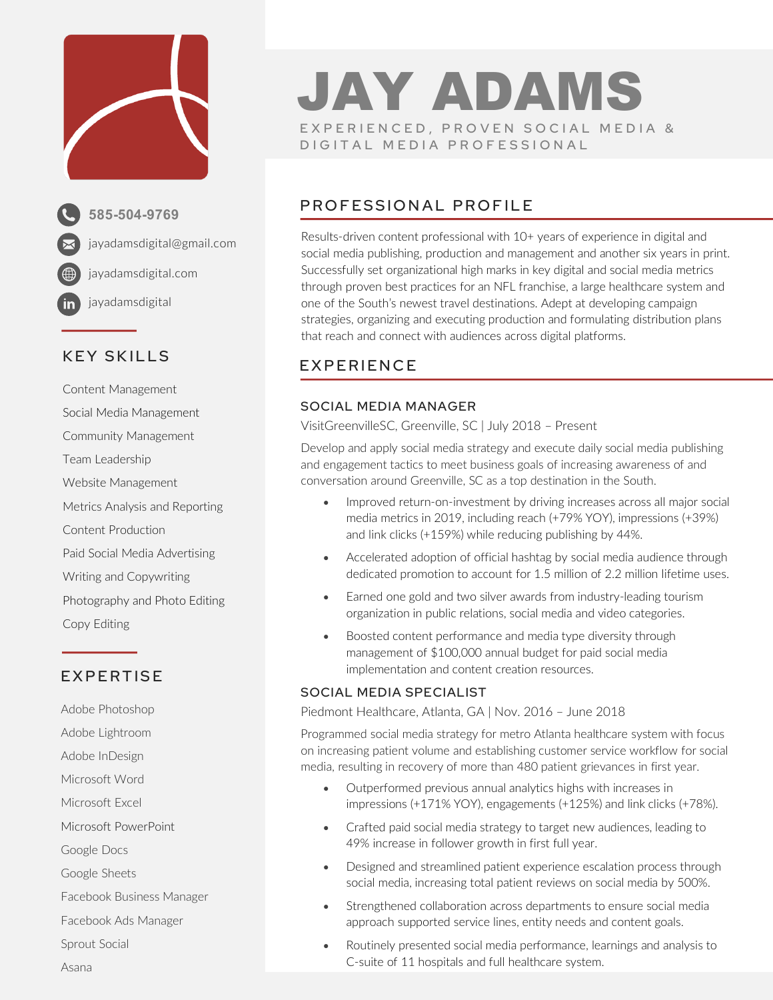

**585-504-9769** jayadamsdigital@gmail.com jayadamsdigital.com jayadamsdigital

### KEY SKILLS

Content Management Social Media Management Community Management Team Leadership Website Management Metrics Analysis and Reporting Content Production Paid Social Media Advertising Writing and Copywriting Photography and Photo Editing Copy Editing

## EXPERTISE

Adobe Photoshop Adobe Lightroom Adobe InDesign Microsoft Word Microsoft Excel Microsoft PowerPoint Google Docs Google Sheets Facebook Business Manager Facebook Ads Manager Sprout Social Asana

## JAY ADAMS EXPERIENCED, PROVEN SOCIAL MEDIA & DIGITAL MEDIA PROFESSIONAL

## PROFESSIONAL PROFILE

Results-driven content professional with 10+ years of experience in digital and social media publishing, production and management and another six years in print. Successfully set organizational high marks in key digital and social media metrics through proven best practices for an NFL franchise, a large healthcare system and one of the South's newest travel destinations. Adept at developing campaign strategies, organizing and executing production and formulating distribution plans that reach and connect with audiences across digital platforms.

## EXPERIENCE

#### SOCIAL MEDIA MANAGER

VisitGreenvilleSC, Greenville, SC | July 2018 – Present

Develop and apply social media strategy and execute daily social media publishing and engagement tactics to meet business goals of increasing awareness of and conversation around Greenville, SC as a top destination in the South.

- Improved return-on-investment by driving increases across all major social media metrics in 2019, including reach (+79% YOY), impressions (+39%) and link clicks (+159%) while reducing publishing by 44%.
- Accelerated adoption of official hashtag by social media audience through dedicated promotion to account for 1.5 million of 2.2 million lifetime uses.
- Earned one gold and two silver awards from industry-leading tourism organization in public relations, social media and video categories.
- Boosted content performance and media type diversity through management of \$100,000 annual budget for paid social media implementation and content creation resources.

#### SOCIAL MEDIA SPECIALIST

Piedmont Healthcare, Atlanta, GA | Nov. 2016 – June 2018

Programmed social media strategy for metro Atlanta healthcare system with focus on increasing patient volume and establishing customer service workflow for social media, resulting in recovery of more than 480 patient grievances in first year.

- Outperformed previous annual analytics highs with increases in impressions (+171% YOY), engagements (+125%) and link clicks (+78%).
- Crafted paid social media strategy to target new audiences, leading to 49% increase in follower growth in first full year.
- Designed and streamlined patient experience escalation process through social media, increasing total patient reviews on social media by 500%.
- Strengthened collaboration across departments to ensure social media approach supported service lines, entity needs and content goals.
- Routinely presented social media performance, learnings and analysis to C-suite of 11 hospitals and full healthcare system.